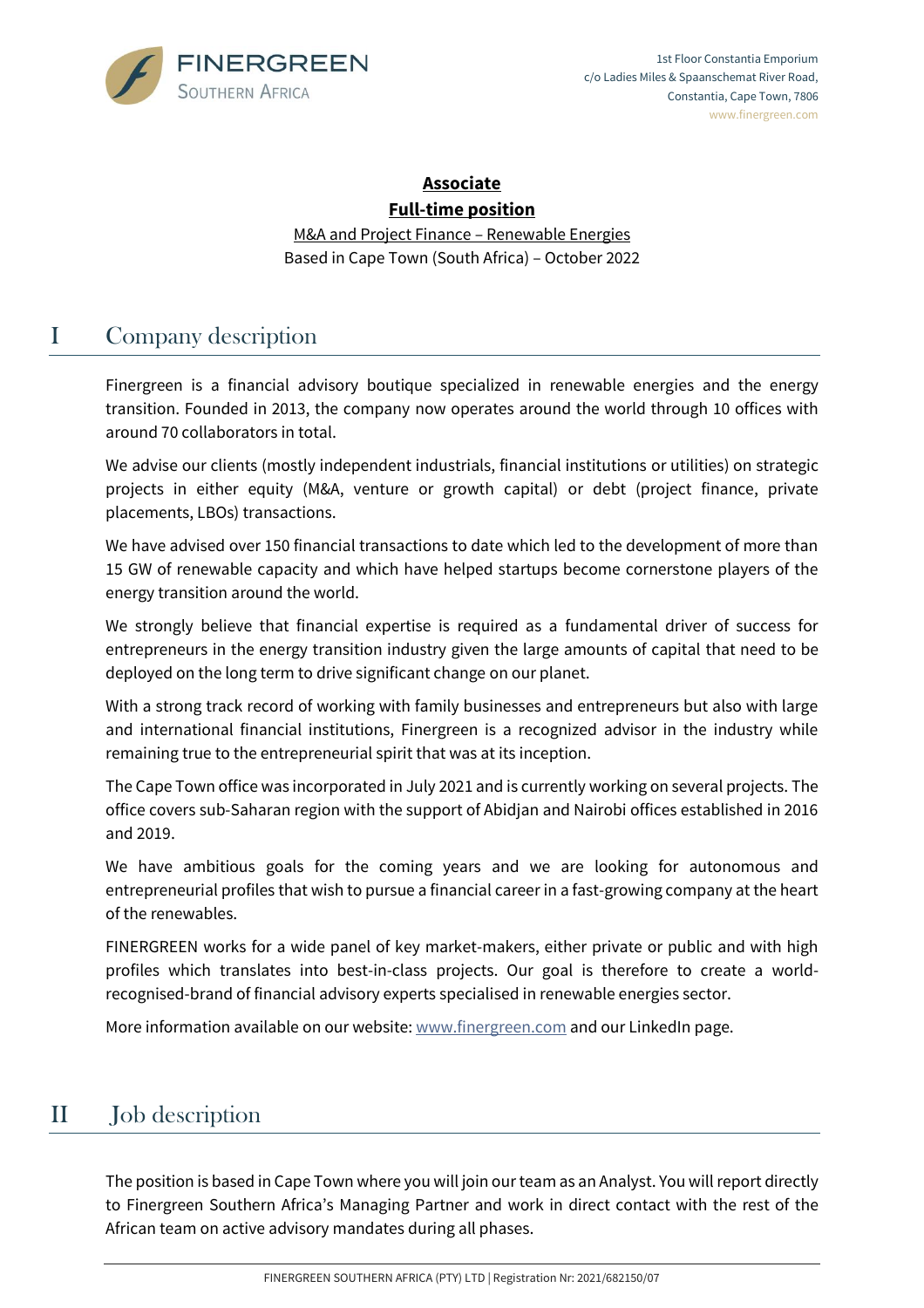

### **Associate Full-time position**

M&A and Project Finance – Renewable Energies Based in Cape Town (South Africa) – October 2022

# I Company description

Finergreen is a financial advisory boutique specialized in renewable energies and the energy transition. Founded in 2013, the company now operates around the world through 10 offices with around 70 collaborators in total.

We advise our clients (mostly independent industrials, financial institutions or utilities) on strategic projects in either equity (M&A, venture or growth capital) or debt (project finance, private placements, LBOs) transactions.

We have advised over 150 financial transactions to date which led to the development of more than 15 GW of renewable capacity and which have helped startups become cornerstone players of the energy transition around the world.

We strongly believe that financial expertise is required as a fundamental driver of success for entrepreneurs in the energy transition industry given the large amounts of capital that need to be deployed on the long term to drive significant change on our planet.

With a strong track record of working with family businesses and entrepreneurs but also with large and international financial institutions, Finergreen is a recognized advisor in the industry while remaining true to the entrepreneurial spirit that was at its inception.

The Cape Town office was incorporated in July 2021 and is currently working on several projects. The office covers sub-Saharan region with the support of Abidjan and Nairobi offices established in 2016 and 2019.

We have ambitious goals for the coming years and we are looking for autonomous and entrepreneurial profiles that wish to pursue a financial career in a fast-growing company at the heart of the renewables.

FINERGREEN works for a wide panel of key market-makers, either private or public and with high profiles which translates into best-in-class projects. Our goal is therefore to create a worldrecognised-brand of financial advisory experts specialised in renewable energies sector.

More information available on our website: [www.finergreen.com](http://www.finergreen.com/) and our LinkedIn page.

### II Job description

The position is based in Cape Town where you will join our team as an Analyst. You will report directly to Finergreen Southern Africa's Managing Partner and work in direct contact with the rest of the African team on active advisory mandates during all phases.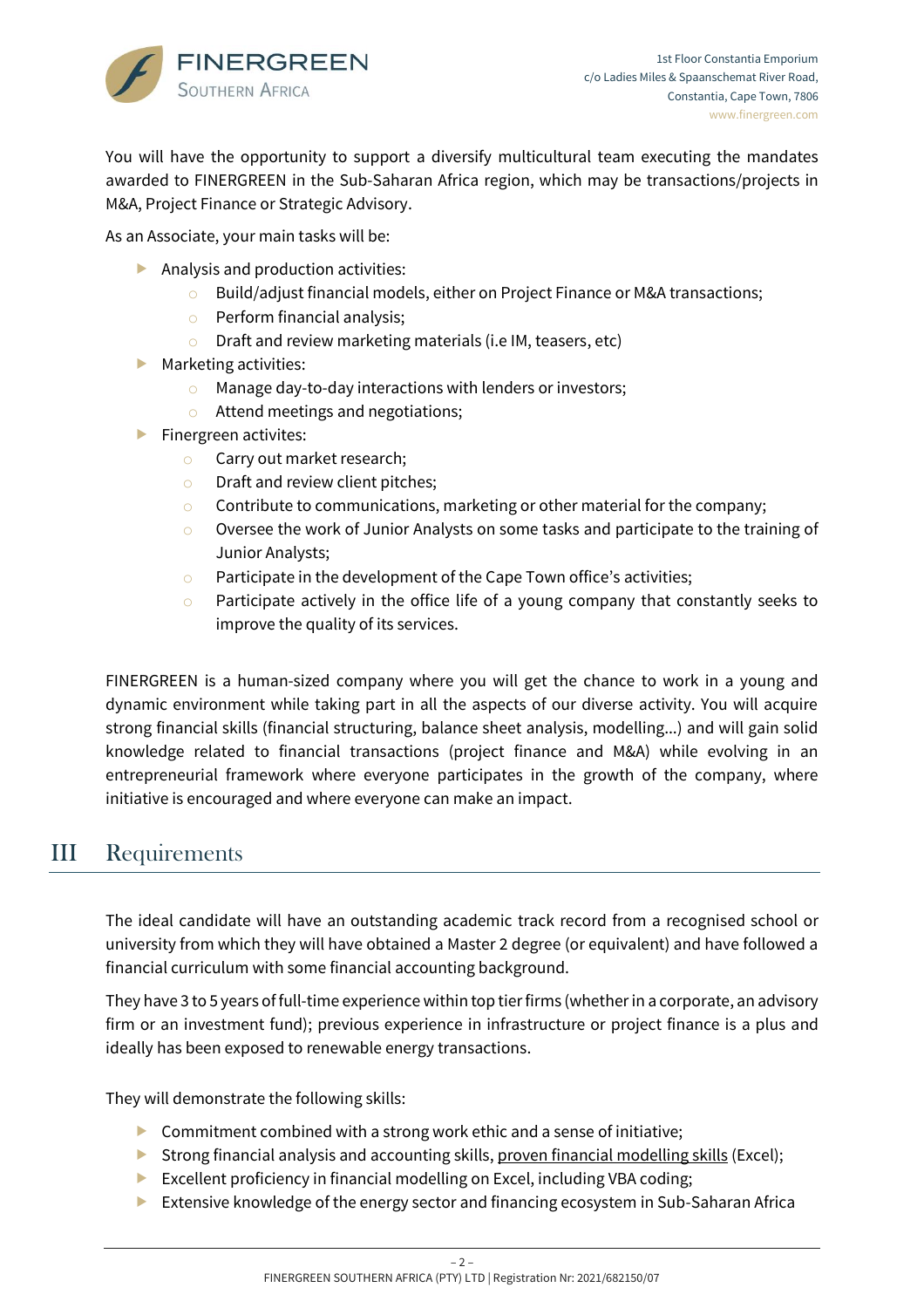

You will have the opportunity to support a diversify multicultural team executing the mandates awarded to FINERGREEN in the Sub-Saharan Africa region, which may be transactions/projects in M&A, Project Finance or Strategic Advisory.

As an Associate, your main tasks will be:

- Analysis and production activities:
	- o Build/adjust financial models, either on Project Finance or M&A transactions;
	- o Perform financial analysis;
	- o Draft and review marketing materials (i.e IM, teasers, etc)
- **Marketing activities:** 
	- o Manage day-to-day interactions with lenders or investors;
	- o Attend meetings and negotiations;
- $\blacktriangleright$  Finergreen activites:
	- o Carry out market research;
	- o Draft and review client pitches;
	- $\circ$  Contribute to communications, marketing or other material for the company;
	- $\circ$  Oversee the work of Junior Analysts on some tasks and participate to the training of Junior Analysts;
	- o Participate in the development of the Cape Town office's activities;
	- $\circ$  Participate actively in the office life of a young company that constantly seeks to improve the quality of its services.

FINERGREEN is a human-sized company where you will get the chance to work in a young and dynamic environment while taking part in all the aspects of our diverse activity. You will acquire strong financial skills (financial structuring, balance sheet analysis, modelling...) and will gain solid knowledge related to financial transactions (project finance and M&A) while evolving in an entrepreneurial framework where everyone participates in the growth of the company, where initiative is encouraged and where everyone can make an impact.

# III Requirements

The ideal candidate will have an outstanding academic track record from a recognised school or university from which they will have obtained a Master 2 degree (or equivalent) and have followed a financial curriculum with some financial accounting background.

They have 3 to 5 years of full-time experience within top tier firms (whether in a corporate, an advisory firm or an investment fund); previous experience in infrastructure or project finance is a plus and ideally has been exposed to renewable energy transactions.

They will demonstrate the following skills:

- **Commitment combined with a strong work ethic and a sense of initiative;**
- **Strong financial analysis and accounting skills, proven financial modelling skills (Excel);**
- Excellent proficiency in financial modelling on Excel, including VBA coding;
- **EXTER 2018 Extensive knowledge of the energy sector and financing ecosystem in Sub-Saharan Africa**